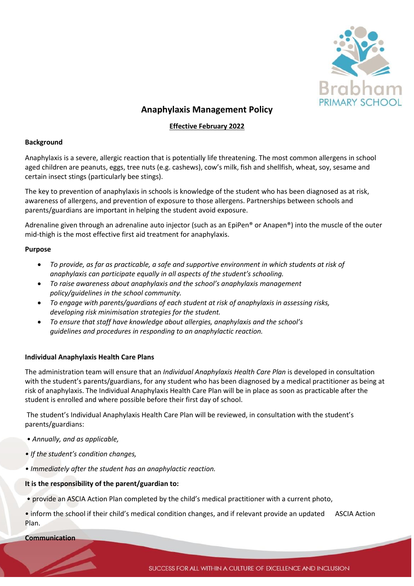

# **Anaphylaxis Management Policy**

## **Effective February 2022**

#### **Background**

Anaphylaxis is a severe, allergic reaction that is potentially life threatening. The most common allergens in school aged children are peanuts, eggs, tree nuts (e.g. cashews), cow's milk, fish and shellfish, wheat, soy, sesame and certain insect stings (particularly bee stings).

The key to prevention of anaphylaxis in schools is knowledge of the student who has been diagnosed as at risk, awareness of allergens, and prevention of exposure to those allergens. Partnerships between schools and parents/guardians are important in helping the student avoid exposure.

Adrenaline given through an adrenaline auto injector (such as an EpiPen® or Anapen®) into the muscle of the outer mid-thigh is the most effective first aid treatment for anaphylaxis.

#### **Purpose**

- *To provide, as far as practicable, a safe and supportive environment in which students at risk of anaphylaxis can participate equally in all aspects of the student's schooling.*
- *To raise awareness about anaphylaxis and the school's anaphylaxis management policy/guidelines in the school community.*
- *To engage with parents/guardians of each student at risk of anaphylaxis in assessing risks, developing risk minimisation strategies for the student.*
- *To ensure that staff have knowledge about allergies, anaphylaxis and the school's guidelines and procedures in responding to an anaphylactic reaction.*

## **Individual Anaphylaxis Health Care Plans**

The administration team will ensure that an *Individual Anaphylaxis Health Care Plan* is developed in consultation with the student's parents/guardians, for any student who has been diagnosed by a medical practitioner as being at risk of anaphylaxis. The Individual Anaphylaxis Health Care Plan will be in place as soon as practicable after the student is enrolled and where possible before their first day of school.

The student's Individual Anaphylaxis Health Care Plan will be reviewed, in consultation with the student's parents/guardians:

- *Annually, and as applicable,*
- *If the student's condition changes,*
- *Immediately after the student has an anaphylactic reaction.*

#### **It is the responsibility of the parent/guardian to:**

- provide an ASCIA Action Plan completed by the child's medical practitioner with a current photo,
- inform the school if their child's medical condition changes, and if relevant provide an updated ASCIA Action Plan.

**Communication**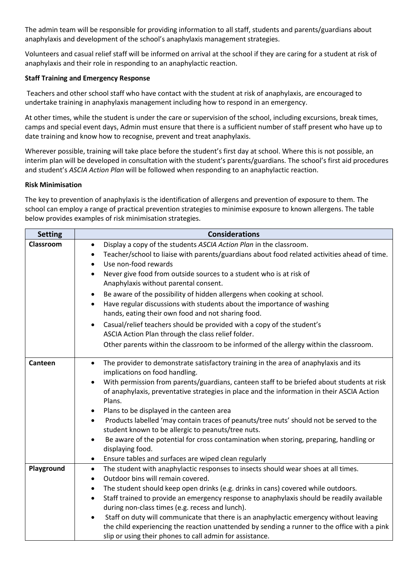The admin team will be responsible for providing information to all staff, students and parents/guardians about anaphylaxis and development of the school's anaphylaxis management strategies.

Volunteers and casual relief staff will be informed on arrival at the school if they are caring for a student at risk of anaphylaxis and their role in responding to an anaphylactic reaction.

## **Staff Training and Emergency Response**

Teachers and other school staff who have contact with the student at risk of anaphylaxis, are encouraged to undertake training in anaphylaxis management including how to respond in an emergency.

At other times, while the student is under the care or supervision of the school, including excursions, break times, camps and special event days, Admin must ensure that there is a sufficient number of staff present who have up to date training and know how to recognise, prevent and treat anaphylaxis.

Wherever possible, training will take place before the student's first day at school. Where this is not possible, an interim plan will be developed in consultation with the student's parents/guardians. The school's first aid procedures and student's *ASCIA Action Plan* will be followed when responding to an anaphylactic reaction.

#### **Risk Minimisation**

The key to prevention of anaphylaxis is the identification of allergens and prevention of exposure to them. The school can employ a range of practical prevention strategies to minimise exposure to known allergens. The table below provides examples of risk minimisation strategies.

| <b>Setting</b> | <b>Considerations</b>                                                                                                                                      |
|----------------|------------------------------------------------------------------------------------------------------------------------------------------------------------|
| Classroom      | Display a copy of the students ASCIA Action Plan in the classroom.<br>$\bullet$                                                                            |
|                | Teacher/school to liaise with parents/guardians about food related activities ahead of time.<br>$\bullet$<br>Use non-food rewards<br>$\bullet$             |
|                | Never give food from outside sources to a student who is at risk of<br>$\bullet$                                                                           |
|                | Anaphylaxis without parental consent.                                                                                                                      |
|                | Be aware of the possibility of hidden allergens when cooking at school.<br>$\bullet$                                                                       |
|                | Have regular discussions with students about the importance of washing<br>$\bullet$                                                                        |
|                | hands, eating their own food and not sharing food.                                                                                                         |
|                | Casual/relief teachers should be provided with a copy of the student's<br>$\bullet$<br>ASCIA Action Plan through the class relief folder.                  |
|                | Other parents within the classroom to be informed of the allergy within the classroom.                                                                     |
| Canteen        | The provider to demonstrate satisfactory training in the area of anaphylaxis and its<br>$\bullet$<br>implications on food handling.                        |
|                | With permission from parents/guardians, canteen staff to be briefed about students at risk                                                                 |
|                | of anaphylaxis, preventative strategies in place and the information in their ASCIA Action<br>Plans.                                                       |
|                | Plans to be displayed in the canteen area                                                                                                                  |
|                | Products labelled 'may contain traces of peanuts/tree nuts' should not be served to the<br>$\bullet$<br>student known to be allergic to peanuts/tree nuts. |
|                | Be aware of the potential for cross contamination when storing, preparing, handling or<br>$\bullet$                                                        |
|                | displaying food.                                                                                                                                           |
|                | Ensure tables and surfaces are wiped clean regularly<br>$\bullet$                                                                                          |
| Playground     | The student with anaphylactic responses to insects should wear shoes at all times.<br>$\bullet$                                                            |
|                | Outdoor bins will remain covered.<br>$\bullet$<br>The student should keep open drinks (e.g. drinks in cans) covered while outdoors.                        |
|                | $\bullet$<br>Staff trained to provide an emergency response to anaphylaxis should be readily available<br>$\bullet$                                        |
|                | during non-class times (e.g. recess and lunch).                                                                                                            |
|                | Staff on duty will communicate that there is an anaphylactic emergency without leaving<br>$\bullet$                                                        |
|                | the child experiencing the reaction unattended by sending a runner to the office with a pink                                                               |
|                | slip or using their phones to call admin for assistance.                                                                                                   |